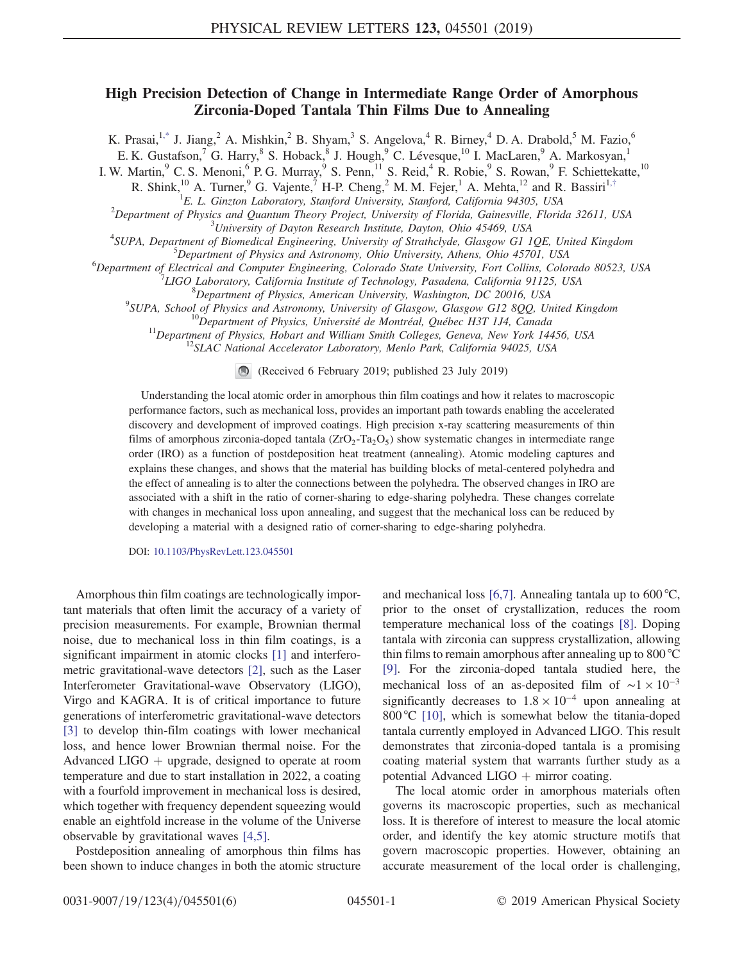## High Precision Detection of Change in Intermediate Range Order of Amorphous Zirconia-Doped Tantala Thin Films Due to Annealing

<span id="page-0-0"></span>K. Prasai,<sup>[1,\\*](#page-4-0)</sup> J. Jiang,<sup>2</sup> A. Mishkin,<sup>2</sup> B. Shyam,<sup>3</sup> S. Angelova,<sup>4</sup> R. Birney,<sup>4</sup> D. A. Drabold,<sup>5</sup> M. Fazio,<sup>6</sup>

E. K. Gustafson,<sup>7</sup> G. Harry,<sup>8</sup> S. Hoback,<sup>8</sup> J. Hough,<sup>9</sup> C. Lévesque,<sup>10</sup> I. MacLaren,<sup>9</sup> A. Markosyan,<sup>1</sup>

<span id="page-0-1"></span>I. W. Martin,  $9^{\circ}$  C. S. Menoni,  $6^{\circ}$  P. G. Murray,  $9^{\circ}$  S. Penn,  $^{11}$  S. Reid,  $4^{\circ}$  R. Robie,  $9^{\circ}$  S. Rowan,  $9^{\circ}$  F. Schiettekatte,  $^{10}$ 

R. Shink,<sup>10</sup> A. Turner,<sup>9</sup> G. Vajente,<sup>7</sup> H-P. Cheng,<sup>2</sup> M. M. Fejer,<sup>1</sup> A. Mehta,<sup>12</sup> and R. Bassiri<sup>1,[†](#page-4-1)</sup>

<sup>1</sup>E. L. Ginzton Laboratory, Stanford University, Stanford, California 94305, USA<br><sup>2</sup>Department of Physics and Quantum Theory Project, University of Florida, Cainesyille, Florid

 $\mu^2$ Department of Physics and Quantum Theory Project, University of Florida, Gainesville, Florida 32611, USA  ${}^{3}$ University of Dayton Research Institute, Dayton, Ohio 45469, USA

 $4$ SUPA, Department of Biomedical Engineering, University of Strathclyde, Glasgow G1 1QE, United Kingdom

 $^5$ Department of Physics and Astronomy, Ohio University, Athens, Ohio 45701, USA

<sup>6</sup>Department of Electrical and Computer Engineering, Colorado State University, Fort Collins, Colorado 80523, USA

 $U$ LIGO Laboratory, California Institute of Technology, Pasadena, California 91125, USA

<sup>8</sup>Department of Physics, American University, Washington, DC 20016, USA<br><sup>9</sup>SUPA, School of Physics and Astronomy, University of Glasgow, Glasgow G12 8QQ, United Kingdom

<sup>10</sup>Department of Physics, Université de Montréal, Québec H3T 1J4, Canada<br><sup>11</sup>Department of Physics, Hobart and William Smith Colleges, Geneva, New York 14456, USA<br><sup>12</sup>SLAC National Accelerator Laboratory, Menlo Park, Cal

(Received 6 February 2019; published 23 July 2019)

Understanding the local atomic order in amorphous thin film coatings and how it relates to macroscopic performance factors, such as mechanical loss, provides an important path towards enabling the accelerated discovery and development of improved coatings. High precision x-ray scattering measurements of thin films of amorphous zirconia-doped tantala  $(ZrO_2-Ta_2O_5)$  show systematic changes in intermediate range order (IRO) as a function of postdeposition heat treatment (annealing). Atomic modeling captures and explains these changes, and shows that the material has building blocks of metal-centered polyhedra and the effect of annealing is to alter the connections between the polyhedra. The observed changes in IRO are associated with a shift in the ratio of corner-sharing to edge-sharing polyhedra. These changes correlate with changes in mechanical loss upon annealing, and suggest that the mechanical loss can be reduced by developing a material with a designed ratio of corner-sharing to edge-sharing polyhedra.

DOI: [10.1103/PhysRevLett.123.045501](https://doi.org/10.1103/PhysRevLett.123.045501)

Amorphous thin film coatings are technologically important materials that often limit the accuracy of a variety of precision measurements. For example, Brownian thermal noise, due to mechanical loss in thin film coatings, is a significant impairment in atomic clocks [\[1\]](#page-4-2) and interferometric gravitational-wave detectors [\[2\]](#page-4-3), such as the Laser Interferometer Gravitational-wave Observatory (LIGO), Virgo and KAGRA. It is of critical importance to future generations of interferometric gravitational-wave detectors [\[3\]](#page-4-4) to develop thin-film coatings with lower mechanical loss, and hence lower Brownian thermal noise. For the Advanced  $LIGO + upgrade$ , designed to operate at room temperature and due to start installation in 2022, a coating with a fourfold improvement in mechanical loss is desired, which together with frequency dependent squeezing would enable an eightfold increase in the volume of the Universe observable by gravitational waves [\[4,5\].](#page-4-5)

Postdeposition annealing of amorphous thin films has been shown to induce changes in both the atomic structure and mechanical loss [\[6,7\]](#page-4-6). Annealing tantala up to  $600^{\circ}$ C, prior to the onset of crystallization, reduces the room temperature mechanical loss of the coatings [\[8\].](#page-4-7) Doping tantala with zirconia can suppress crystallization, allowing thin films to remain amorphous after annealing up to 800 °C [\[9\]](#page-5-0). For the zirconia-doped tantala studied here, the mechanical loss of an as-deposited film of  $\sim$ 1 × 10<sup>-3</sup> significantly decreases to  $1.8 \times 10^{-4}$  upon annealing at 800 °C [\[10\]](#page-5-1), which is somewhat below the titania-doped tantala currently employed in Advanced LIGO. This result demonstrates that zirconia-doped tantala is a promising coating material system that warrants further study as a potential Advanced LIGO  $+$  mirror coating.

The local atomic order in amorphous materials often governs its macroscopic properties, such as mechanical loss. It is therefore of interest to measure the local atomic order, and identify the key atomic structure motifs that govern macroscopic properties. However, obtaining an accurate measurement of the local order is challenging,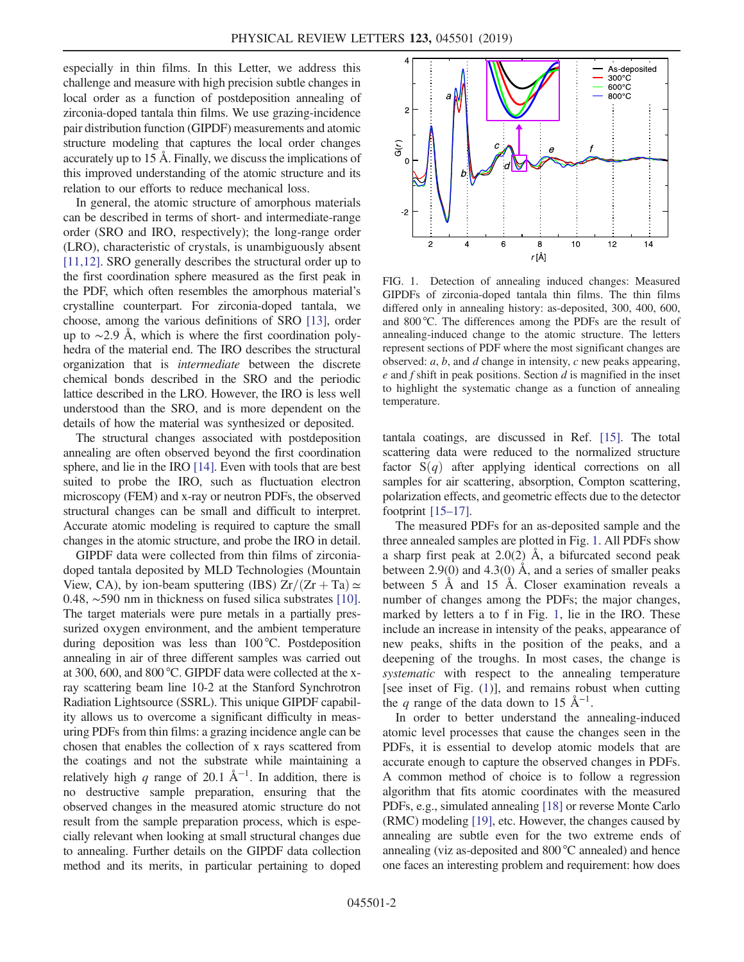especially in thin films. In this Letter, we address this challenge and measure with high precision subtle changes in local order as a function of postdeposition annealing of zirconia-doped tantala thin films. We use grazing-incidence pair distribution function (GIPDF) measurements and atomic structure modeling that captures the local order changes accurately up to 15 Å. Finally, we discuss the implications of this improved understanding of the atomic structure and its relation to our efforts to reduce mechanical loss.

In general, the atomic structure of amorphous materials can be described in terms of short- and intermediate-range order (SRO and IRO, respectively); the long-range order (LRO), characteristic of crystals, is unambiguously absent [\[11,12\]](#page-5-2). SRO generally describes the structural order up to the first coordination sphere measured as the first peak in the PDF, which often resembles the amorphous material's crystalline counterpart. For zirconia-doped tantala, we choose, among the various definitions of SRO [\[13\]](#page-5-3), order up to ∼2.9 Å, which is where the first coordination polyhedra of the material end. The IRO describes the structural organization that is intermediate between the discrete chemical bonds described in the SRO and the periodic lattice described in the LRO. However, the IRO is less well understood than the SRO, and is more dependent on the details of how the material was synthesized or deposited.

The structural changes associated with postdeposition annealing are often observed beyond the first coordination sphere, and lie in the IRO [\[14\]](#page-5-4). Even with tools that are best suited to probe the IRO, such as fluctuation electron microscopy (FEM) and x-ray or neutron PDFs, the observed structural changes can be small and difficult to interpret. Accurate atomic modeling is required to capture the small changes in the atomic structure, and probe the IRO in detail.

GIPDF data were collected from thin films of zirconiadoped tantala deposited by MLD Technologies (Mountain View, CA), by ion-beam sputtering (IBS)  $Zr/(Zr+Ta) \simeq$ 0.48, ∼590 nm in thickness on fused silica substrates [\[10\]](#page-5-1). The target materials were pure metals in a partially pressurized oxygen environment, and the ambient temperature during deposition was less than 100 °C. Postdeposition annealing in air of three different samples was carried out at 300, 600, and 800 °C. GIPDF data were collected at the xray scattering beam line 10-2 at the Stanford Synchrotron Radiation Lightsource (SSRL). This unique GIPDF capability allows us to overcome a significant difficulty in measuring PDFs from thin films: a grazing incidence angle can be chosen that enables the collection of x rays scattered from the coatings and not the substrate while maintaining a relatively high q range of 20.1  $\AA^{-1}$ . In addition, there is no destructive sample preparation, ensuring that the observed changes in the measured atomic structure do not result from the sample preparation process, which is especially relevant when looking at small structural changes due to annealing. Further details on the GIPDF data collection method and its merits, in particular pertaining to doped

<span id="page-1-0"></span>

FIG. 1. Detection of annealing induced changes: Measured GIPDFs of zirconia-doped tantala thin films. The thin films differed only in annealing history: as-deposited, 300, 400, 600, and 800 °C. The differences among the PDFs are the result of annealing-induced change to the atomic structure. The letters represent sections of PDF where the most significant changes are observed:  $a, b$ , and  $d$  change in intensity,  $c$  new peaks appearing,  $e$  and  $f$  shift in peak positions. Section  $d$  is magnified in the inset to highlight the systematic change as a function of annealing temperature.

tantala coatings, are discussed in Ref. [\[15\].](#page-5-5) The total scattering data were reduced to the normalized structure factor  $S(q)$  after applying identical corrections on all samples for air scattering, absorption, Compton scattering, polarization effects, and geometric effects due to the detector footprint  $[15–17]$  $[15–17]$ .

The measured PDFs for an as-deposited sample and the three annealed samples are plotted in Fig. [1.](#page-1-0) All PDFs show a sharp first peak at  $2.0(2)$  Å, a bifurcated second peak between 2.9(0) and 4.3(0) Å, and a series of smaller peaks between 5 Å and 15 Å. Closer examination reveals a number of changes among the PDFs; the major changes, marked by letters a to f in Fig. [1,](#page-1-0) lie in the IRO. These include an increase in intensity of the peaks, appearance of new peaks, shifts in the position of the peaks, and a deepening of the troughs. In most cases, the change is systematic with respect to the annealing temperature [see inset of Fig. ([1\)](#page-1-0)], and remains robust when cutting the q range of the data down to 15  $\AA^{-1}$ .

In order to better understand the annealing-induced atomic level processes that cause the changes seen in the PDFs, it is essential to develop atomic models that are accurate enough to capture the observed changes in PDFs. A common method of choice is to follow a regression algorithm that fits atomic coordinates with the measured PDFs, e.g., simulated annealing [\[18\]](#page-5-6) or reverse Monte Carlo (RMC) modeling [\[19\]](#page-5-7), etc. However, the changes caused by annealing are subtle even for the two extreme ends of annealing (viz as-deposited and 800 °C annealed) and hence one faces an interesting problem and requirement: how does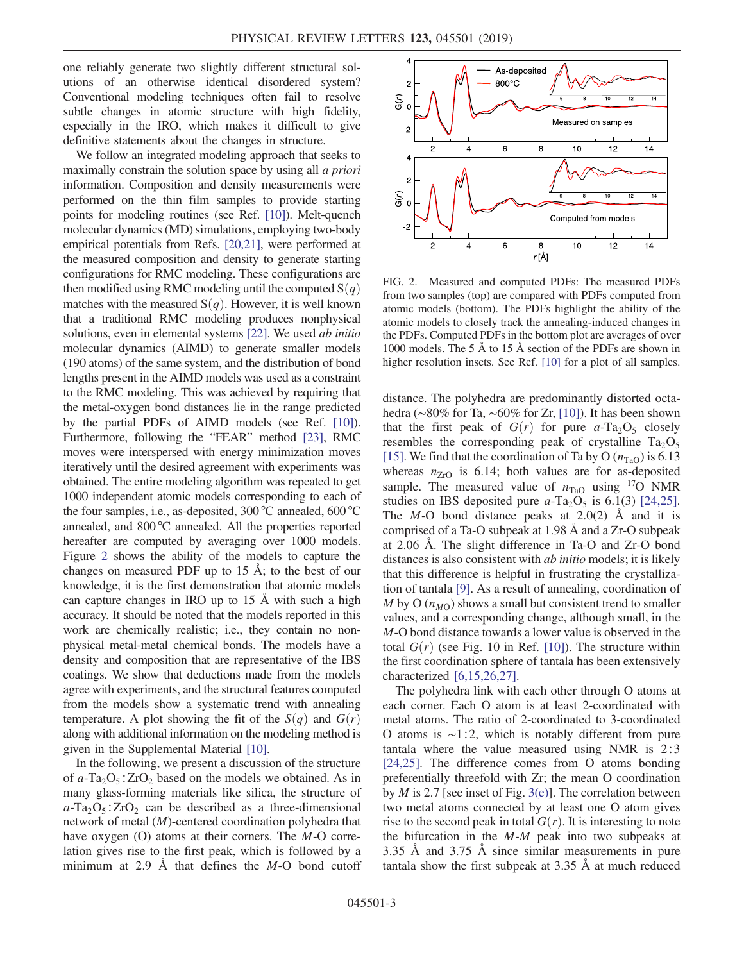one reliably generate two slightly different structural solutions of an otherwise identical disordered system? Conventional modeling techniques often fail to resolve subtle changes in atomic structure with high fidelity, especially in the IRO, which makes it difficult to give definitive statements about the changes in structure.

We follow an integrated modeling approach that seeks to maximally constrain the solution space by using all a priori information. Composition and density measurements were performed on the thin film samples to provide starting points for modeling routines (see Ref. [\[10\]\)](#page-5-1). Melt-quench molecular dynamics (MD) simulations, employing two-body empirical potentials from Refs. [\[20,21\]](#page-5-8), were performed at the measured composition and density to generate starting configurations for RMC modeling. These configurations are then modified using RMC modeling until the computed  $S(q)$ matches with the measured  $S(q)$ . However, it is well known that a traditional RMC modeling produces nonphysical solutions, even in elemental systems [\[22\].](#page-5-9) We used *ab initio* molecular dynamics (AIMD) to generate smaller models (190 atoms) of the same system, and the distribution of bond lengths present in the AIMD models was used as a constraint to the RMC modeling. This was achieved by requiring that the metal-oxygen bond distances lie in the range predicted by the partial PDFs of AIMD models (see Ref. [\[10\]](#page-5-1)). Furthermore, following the "FEAR" method [\[23\]](#page-5-10), RMC moves were interspersed with energy minimization moves iteratively until the desired agreement with experiments was obtained. The entire modeling algorithm was repeated to get 1000 independent atomic models corresponding to each of the four samples, i.e., as-deposited, 300 °C annealed, 600 °C annealed, and 800 °C annealed. All the properties reported hereafter are computed by averaging over 1000 models. Figure [2](#page-2-0) shows the ability of the models to capture the changes on measured PDF up to 15 Å; to the best of our knowledge, it is the first demonstration that atomic models can capture changes in IRO up to 15 Å with such a high accuracy. It should be noted that the models reported in this work are chemically realistic; i.e., they contain no nonphysical metal-metal chemical bonds. The models have a density and composition that are representative of the IBS coatings. We show that deductions made from the models agree with experiments, and the structural features computed from the models show a systematic trend with annealing temperature. A plot showing the fit of the  $S(q)$  and  $G(r)$ along with additional information on the modeling method is given in the Supplemental Material [\[10\].](#page-5-1)

In the following, we present a discussion of the structure of  $a-\text{Ta}_2O_5$ : ZrO<sub>2</sub> based on the models we obtained. As in many glass-forming materials like silica, the structure of  $a-Ta_2O_5$ : ZrO<sub>2</sub> can be described as a three-dimensional network of metal (M)-centered coordination polyhedra that have oxygen (O) atoms at their corners. The M-O correlation gives rise to the first peak, which is followed by a minimum at 2.9 Å that defines the  $M$ -O bond cutoff

<span id="page-2-0"></span>

FIG. 2. Measured and computed PDFs: The measured PDFs from two samples (top) are compared with PDFs computed from atomic models (bottom). The PDFs highlight the ability of the atomic models to closely track the annealing-induced changes in the PDFs. Computed PDFs in the bottom plot are averages of over 1000 models. The 5 Å to 15 Å section of the PDFs are shown in higher resolution insets. See Ref. [\[10\]](#page-5-1) for a plot of all samples.

distance. The polyhedra are predominantly distorted octahedra (∼80% for Ta, ∼60% for Zr, [\[10\]](#page-5-1)). It has been shown that the first peak of  $G(r)$  for pure  $a$ -Ta<sub>2</sub>O<sub>5</sub> closely resembles the corresponding peak of crystalline  $Ta_2O_5$ [\[15\]](#page-5-5). We find that the coordination of Ta by O ( $n_{TaO}$ ) is 6.13 whereas  $n_{ZrO}$  is 6.14; both values are for as-deposited sample. The measured value of  $n_{TaO}$  using <sup>17</sup>O NMR studies on IBS deposited pure  $a-\text{Ta}_2\text{O}_5$  is 6.1(3) [\[24,25\]](#page-5-11). The  $M$ -O bond distance peaks at 2.0(2)  $\AA$  and it is comprised of a Ta-O subpeak at 1.98 Å and a Zr-O subpeak at 2.06 Å. The slight difference in Ta-O and Zr-O bond distances is also consistent with *ab initio* models; it is likely that this difference is helpful in frustrating the crystallization of tantala [\[9\]](#page-5-0). As a result of annealing, coordination of M by O  $(n_{M<sub>O</sub>})$  shows a small but consistent trend to smaller values, and a corresponding change, although small, in the M-O bond distance towards a lower value is observed in the total  $G(r)$  (see Fig. 10 in Ref. [\[10\]\)](#page-5-1). The structure within the first coordination sphere of tantala has been extensively characterized [\[6,15,26,27\]](#page-4-6).

The polyhedra link with each other through O atoms at each corner. Each O atom is at least 2-coordinated with metal atoms. The ratio of 2-coordinated to 3-coordinated O atoms is ∼1∶2, which is notably different from pure tantala where the value measured using NMR is 2∶3 [\[24,25\]](#page-5-11). The difference comes from O atoms bonding preferentially threefold with Zr; the mean O coordination by  $M$  is 2.7 [see inset of Fig. [3\(e\)\]](#page-3-0). The correlation between two metal atoms connected by at least one O atom gives rise to the second peak in total  $G(r)$ . It is interesting to note the bifurcation in the  $M-M$  peak into two subpeaks at 3.35 Å and 3.75 Å since similar measurements in pure tantala show the first subpeak at 3.35 Å at much reduced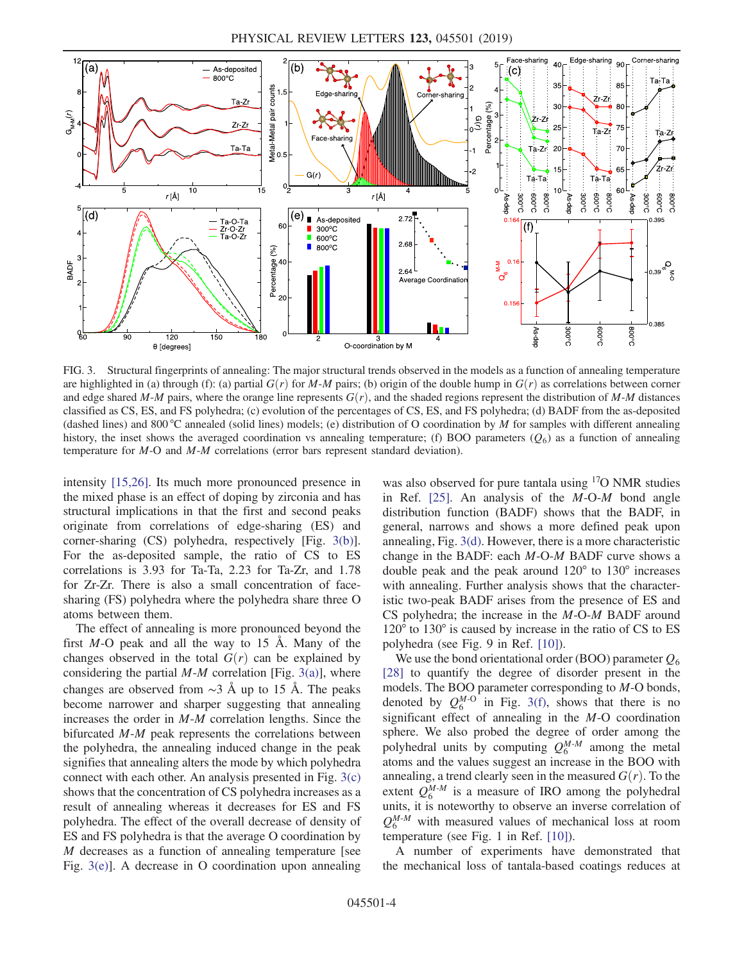<span id="page-3-0"></span>

FIG. 3. Structural fingerprints of annealing: The major structural trends observed in the models as a function of annealing temperature are highlighted in (a) through (f): (a) partial  $G(r)$  for M-M pairs; (b) origin of the double hump in  $G(r)$  as correlations between corner and edge shared M-M pairs, where the orange line represents  $G(r)$ , and the shaded regions represent the distribution of M-M distances classified as CS, ES, and FS polyhedra; (c) evolution of the percentages of CS, ES, and FS polyhedra; (d) BADF from the as-deposited (dashed lines) and 800 °C annealed (solid lines) models; (e) distribution of O coordination by  $M$  for samples with different annealing history, the inset shows the averaged coordination vs annealing temperature; (f) BOO parameters  $(Q_6)$  as a function of annealing temperature for M-O and M-M correlations (error bars represent standard deviation).

intensity [\[15,26\]](#page-5-5). Its much more pronounced presence in the mixed phase is an effect of doping by zirconia and has structural implications in that the first and second peaks originate from correlations of edge-sharing (ES) and corner-sharing (CS) polyhedra, respectively [Fig. [3\(b\)](#page-3-0)]. For the as-deposited sample, the ratio of CS to ES correlations is 3.93 for Ta-Ta, 2.23 for Ta-Zr, and 1.78 for Zr-Zr. There is also a small concentration of facesharing (FS) polyhedra where the polyhedra share three O atoms between them.

The effect of annealing is more pronounced beyond the first  $M$ -O peak and all the way to 15 Å. Many of the changes observed in the total  $G(r)$  can be explained by considering the partial  $M-M$  correlation [Fig. [3\(a\)](#page-3-0)], where changes are observed from  $\sim$ 3 Å up to 15 Å. The peaks become narrower and sharper suggesting that annealing increases the order in M-M correlation lengths. Since the bifurcated  $M-M$  peak represents the correlations between the polyhedra, the annealing induced change in the peak signifies that annealing alters the mode by which polyhedra connect with each other. An analysis presented in Fig. [3\(c\)](#page-3-0) shows that the concentration of CS polyhedra increases as a result of annealing whereas it decreases for ES and FS polyhedra. The effect of the overall decrease of density of ES and FS polyhedra is that the average O coordination by M decreases as a function of annealing temperature [see Fig.  $3(e)$ ]. A decrease in O coordination upon annealing was also observed for pure tantala using <sup>17</sup>O NMR studies in Ref.  $[25]$ . An analysis of the M-O-M bond angle distribution function (BADF) shows that the BADF, in general, narrows and shows a more defined peak upon annealing, Fig. [3\(d\)](#page-3-0). However, there is a more characteristic change in the BADF: each  $M$ -O- $M$  BADF curve shows a double peak and the peak around 120° to 130° increases with annealing. Further analysis shows that the characteristic two-peak BADF arises from the presence of ES and CS polyhedra; the increase in the M-O-M BADF around 120° to 130° is caused by increase in the ratio of CS to ES polyhedra (see Fig. 9 in Ref. [\[10\]\)](#page-5-1).

We use the bond orientational order (BOO) parameter  $Q_6$ [\[28\]](#page-5-13) to quantify the degree of disorder present in the models. The BOO parameter corresponding to M-O bonds, denoted by  $Q_6^{M-O}$  in Fig. [3\(f\),](#page-3-0) shows that there is no significant effect of annealing in the M-O coordination sphere. We also probed the degree of order among the polyhedral units by computing  $Q_6^{M-M}$  among the metal atoms and the values suggest an increase in the BOO with annealing, a trend clearly seen in the measured  $G(r)$ . To the extent  $Q_6^{M-M}$  is a measure of IRO among the polyhedral units, it is noteworthy to observe an inverse correlation of  $Q_6^{M-M}$  with measured values of mechanical loss at room temperature (see Fig. 1 in Ref. [\[10\]\)](#page-5-1).

A number of experiments have demonstrated that the mechanical loss of tantala-based coatings reduces at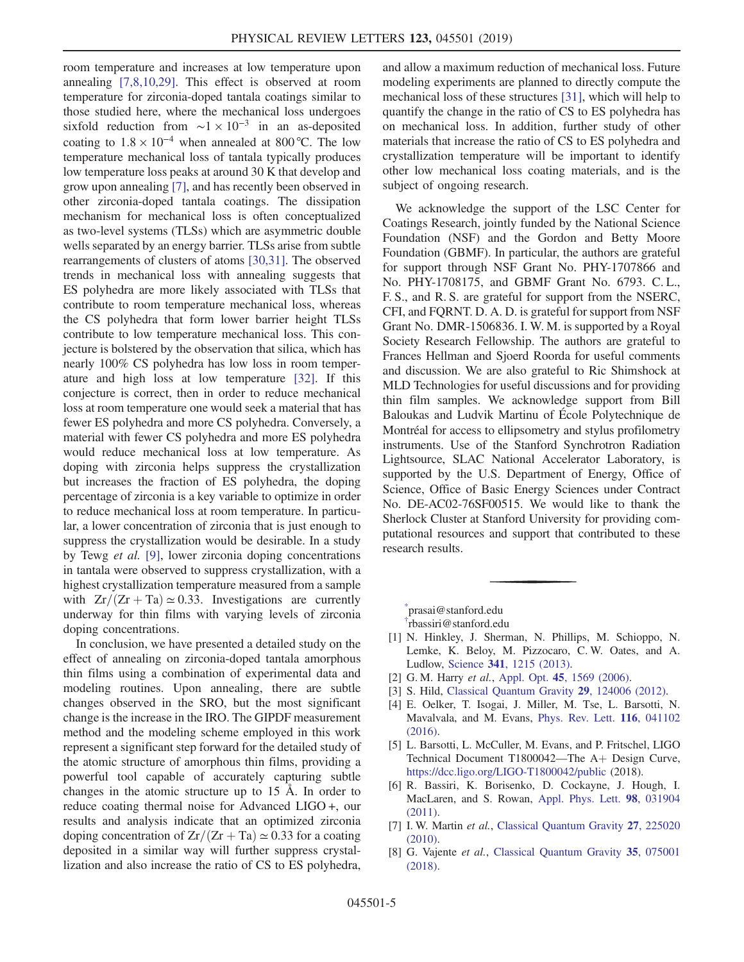room temperature and increases at low temperature upon annealing [\[7,8,10,29\]](#page-4-8). This effect is observed at room temperature for zirconia-doped tantala coatings similar to those studied here, where the mechanical loss undergoes sixfold reduction from  $\sim$ 1 × 10<sup>-3</sup> in an as-deposited coating to  $1.8 \times 10^{-4}$  when annealed at 800 °C. The low temperature mechanical loss of tantala typically produces low temperature loss peaks at around 30 K that develop and grow upon annealing [\[7\]](#page-4-8), and has recently been observed in other zirconia-doped tantala coatings. The dissipation mechanism for mechanical loss is often conceptualized as two-level systems (TLSs) which are asymmetric double wells separated by an energy barrier. TLSs arise from subtle rearrangements of clusters of atoms [\[30,31\].](#page-5-14) The observed trends in mechanical loss with annealing suggests that ES polyhedra are more likely associated with TLSs that contribute to room temperature mechanical loss, whereas the CS polyhedra that form lower barrier height TLSs contribute to low temperature mechanical loss. This conjecture is bolstered by the observation that silica, which has nearly 100% CS polyhedra has low loss in room temperature and high loss at low temperature [\[32\]](#page-5-15). If this conjecture is correct, then in order to reduce mechanical loss at room temperature one would seek a material that has fewer ES polyhedra and more CS polyhedra. Conversely, a material with fewer CS polyhedra and more ES polyhedra would reduce mechanical loss at low temperature. As doping with zirconia helps suppress the crystallization but increases the fraction of ES polyhedra, the doping percentage of zirconia is a key variable to optimize in order to reduce mechanical loss at room temperature. In particular, a lower concentration of zirconia that is just enough to suppress the crystallization would be desirable. In a study by Tewg et al. [\[9\],](#page-5-0) lower zirconia doping concentrations in tantala were observed to suppress crystallization, with a highest crystallization temperature measured from a sample with  $Zr/(Zr + Ta) \simeq 0.33$ . Investigations are currently underway for thin films with varying levels of zirconia doping concentrations.

In conclusion, we have presented a detailed study on the effect of annealing on zirconia-doped tantala amorphous thin films using a combination of experimental data and modeling routines. Upon annealing, there are subtle changes observed in the SRO, but the most significant change is the increase in the IRO. The GIPDF measurement method and the modeling scheme employed in this work represent a significant step forward for the detailed study of the atomic structure of amorphous thin films, providing a powerful tool capable of accurately capturing subtle changes in the atomic structure up to 15 Å. In order to reduce coating thermal noise for Advanced LIGO +, our results and analysis indicate that an optimized zirconia doping concentration of  $Zr/(Zr + Ta) \simeq 0.33$  for a coating deposited in a similar way will further suppress crystallization and also increase the ratio of CS to ES polyhedra, and allow a maximum reduction of mechanical loss. Future modeling experiments are planned to directly compute the mechanical loss of these structures [\[31\]](#page-5-16), which will help to quantify the change in the ratio of CS to ES polyhedra has on mechanical loss. In addition, further study of other materials that increase the ratio of CS to ES polyhedra and crystallization temperature will be important to identify other low mechanical loss coating materials, and is the subject of ongoing research.

We acknowledge the support of the LSC Center for Coatings Research, jointly funded by the National Science Foundation (NSF) and the Gordon and Betty Moore Foundation (GBMF). In particular, the authors are grateful for support through NSF Grant No. PHY-1707866 and No. PHY-1708175, and GBMF Grant No. 6793. C. L., F. S., and R. S. are grateful for support from the NSERC, CFI, and FQRNT. D. A. D. is grateful for support from NSF Grant No. DMR-1506836. I. W. M. is supported by a Royal Society Research Fellowship. The authors are grateful to Frances Hellman and Sjoerd Roorda for useful comments and discussion. We are also grateful to Ric Shimshock at MLD Technologies for useful discussions and for providing thin film samples. We acknowledge support from Bill Baloukas and Ludvik Martinu of École Polytechnique de Montréal for access to ellipsometry and stylus profilometry instruments. Use of the Stanford Synchrotron Radiation Lightsource, SLAC National Accelerator Laboratory, is supported by the U.S. Department of Energy, Office of Science, Office of Basic Energy Sciences under Contract No. DE-AC02-76SF00515. We would like to thank the Sherlock Cluster at Stanford University for providing computational resources and support that contributed to these research results.

<span id="page-4-2"></span><span id="page-4-1"></span><span id="page-4-0"></span>[\\*](#page-0-0) prasai@stanford.edu

[†](#page-0-1) rbassiri@stanford.edu

- <span id="page-4-3"></span>[1] N. Hinkley, J. Sherman, N. Phillips, M. Schioppo, N. Lemke, K. Beloy, M. Pizzocaro, C. W. Oates, and A. Ludlow, Science 341[, 1215 \(2013\)](https://doi.org/10.1126/science.1240420).
- <span id="page-4-5"></span><span id="page-4-4"></span>[2] G. M. Harry et al., Appl. Opt. 45[, 1569 \(2006\).](https://doi.org/10.1364/AO.45.001569)
- [3] S. Hild, [Classical Quantum Gravity](https://doi.org/10.1088/0264-9381/29/12/124006) 29, 124006 (2012).
- [4] E. Oelker, T. Isogai, J. Miller, M. Tse, L. Barsotti, N. Mavalvala, and M. Evans, [Phys. Rev. Lett.](https://doi.org/10.1103/PhysRevLett.116.041102) 116, 041102 [\(2016\).](https://doi.org/10.1103/PhysRevLett.116.041102)
- <span id="page-4-6"></span>[5] L. Barsotti, L. McCuller, M. Evans, and P. Fritschel, LIGO Technical Document T1800042—The  $A+$  Design Curve, <https://dcc.ligo.org/LIGO-T1800042/public> (2018).
- <span id="page-4-8"></span>[6] R. Bassiri, K. Borisenko, D. Cockayne, J. Hough, I. MacLaren, and S. Rowan, [Appl. Phys. Lett.](https://doi.org/10.1063/1.3535982) 98, 031904 [\(2011\).](https://doi.org/10.1063/1.3535982)
- <span id="page-4-7"></span>[7] I. W. Martin et al., [Classical Quantum Gravity](https://doi.org/10.1088/0264-9381/27/22/225020) 27, 225020 [\(2010\).](https://doi.org/10.1088/0264-9381/27/22/225020)
- [8] G. Vajente et al., [Classical Quantum Gravity](https://doi.org/10.1088/1361-6382/aaad7c) 35, 075001 [\(2018\).](https://doi.org/10.1088/1361-6382/aaad7c)